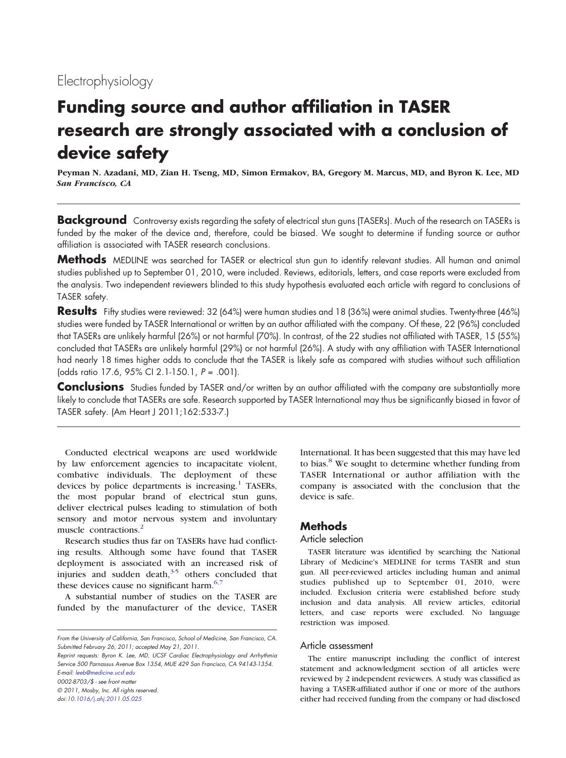# Electrophysiology

# Funding source and author affiliation in TASER research are strongly associated with a conclusion of device safety

Peyman N. Azadani, MD, Zian H. Tseng, MD, Simon Ermakov, BA, Gregory M. Marcus, MD, and Byron K. Lee, MD San Francisco, CA

**Background** Controversy exists regarding the safety of electrical stun guns (TASERs). Much of the research on TASERs is funded by the maker of the device and, therefore, could be biased. We sought to determine if funding source or author affiliation is associated with TASER research conclusions.

Methods MEDLINE was searched for TASER or electrical stun gun to identify relevant studies. All human and animal studies published up to September 01, 2010, were included. Reviews, editorials, letters, and case reports were excluded from the analysis. Two independent reviewers blinded to this study hypothesis evaluated each article with regard to conclusions of TASER safety.

Results Fifty studies were reviewed: 32 (64%) were human studies and 18 (36%) were animal studies. Twenty-three (46%) studies were funded by TASER International or written by an author affiliated with the company. Of these, 22 (96%) concluded that TASERs are unlikely harmful (26%) or not harmful (70%). In contrast, of the 22 studies not affiliated with TASER, 15 (55%) concluded that TASERs are unlikely harmful (29%) or not harmful (26%). A study with any affiliation with TASER International had nearly 18 times higher odds to conclude that the TASER is likely safe as compared with studies without such affiliation (odds ratio 17.6, 95% CI 2.1-150.1, P = .001).

Conclusions Studies funded by TASER and/or written by an author affiliated with the company are substantially more likely to conclude that TASERs are safe. Research supported by TASER International may thus be significantly biased in favor of TASER safety. (Am Heart J 2011;162:533-7.)

Conducted electrical weapons are used worldwide by law enforcement agencies to incapacitate violent, combative individuals. The deployment of these devices by police departments is increasing. $<sup>1</sup>$  $<sup>1</sup>$  $<sup>1</sup>$  TASERs,</sup> the most popular brand of electrical stun guns, deliver electrical pulses leading to stimulation of both sensory and motor nervous system and involuntary muscle contractions.<sup>[2](#page-3-0)</sup>

Research studies thus far on TASERs have had conflicting results. Although some have found that TASER deployment is associated with an increased risk of injuries and sudden death, $35$  others concluded that these devices cause no significant harm. $6,7$ 

A substantial number of studies on the TASER are funded by the manufacturer of the device, TASER

Reprint requests: Byron K. Lee, MD, UCSF Cardiac Electrophysiology and Arrhythmia Service 500 Parnassus Avenue Box 1354, MUE 429 San Francisco, CA 94143-1354. E-mail: [leeb@medicine.ucsf.edu](mailto:leeb@medicine.ucsf.edu)

0002-8703/\$ - see front matter

© 2011, Mosby, Inc. All rights reserved.

doi[:10.1016/j.ahj.2011.05.025](http://dx.doi.org/10.1016/j.ahj.2011.05.025)

International. It has been suggested that this may have led to bias.<sup>[8](#page-3-0)</sup> We sought to determine whether funding from TASER International or author affiliation with the company is associated with the conclusion that the device is safe.

# **Methods**

#### Article selection

TASER literature was identified by searching the National Library of Medicine's MEDLINE for terms TASER and stun gun. All peer-reviewed articles including human and animal studies published up to September 01, 2010, were included. Exclusion criteria were established before study inclusion and data analysis. All review articles, editorial letters, and case reports were excluded. No language restriction was imposed.

#### Article assessment

The entire manuscript including the conflict of interest statement and acknowledgment section of all articles were reviewed by 2 independent reviewers. A study was classified as having a TASER-affiliated author if one or more of the authors either had received funding from the company or had disclosed

From the University of California, San Francisco, School of Medicine, San Francisco, CA. Submitted February 26, 2011; accepted May 21, 2011.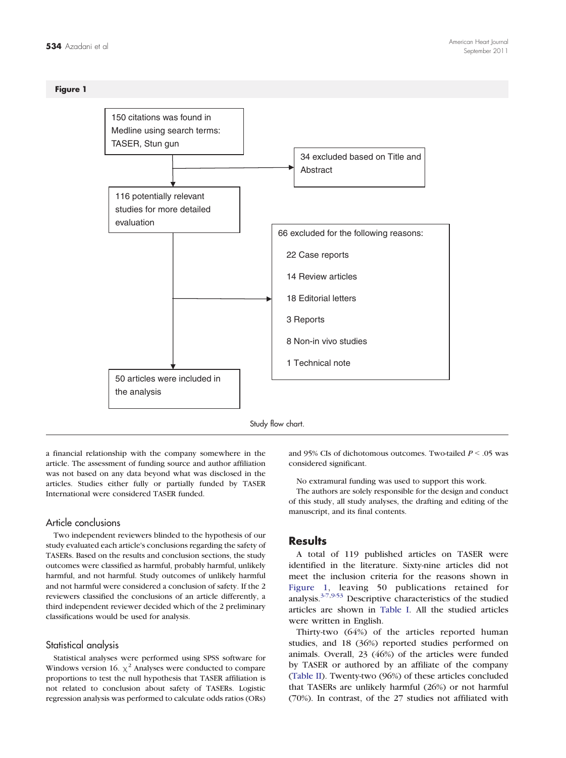

a financial relationship with the company somewhere in the article. The assessment of funding source and author affiliation was not based on any data beyond what was disclosed in the articles. Studies either fully or partially funded by TASER International were considered TASER funded.

#### Article conclusions

Two independent reviewers blinded to the hypothesis of our study evaluated each article's conclusions regarding the safety of TASERs. Based on the results and conclusion sections, the study outcomes were classified as harmful, probably harmful, unlikely harmful, and not harmful. Study outcomes of unlikely harmful and not harmful were considered a conclusion of safety. If the 2 reviewers classified the conclusions of an article differently, a third independent reviewer decided which of the 2 preliminary classifications would be used for analysis.

#### Statistical analysis

Statistical analyses were performed using SPSS software for Windows version 16.  $\chi^2$  Analyses were conducted to compare proportions to test the null hypothesis that TASER affiliation is not related to conclusion about safety of TASERs. Logistic regression analysis was performed to calculate odds ratios (ORs)

and 95% CIs of dichotomous outcomes. Two-tailed  $P < .05$  was considered significant.

No extramural funding was used to support this work.

The authors are solely responsible for the design and conduct of this study, all study analyses, the drafting and editing of the manuscript, and its final contents.

## Results

A total of 119 published articles on TASER were identified in the literature. Sixty-nine articles did not meet the inclusion criteria for the reasons shown in Figure 1, leaving 50 publications retained for analysis.[3-7,9-53](#page-3-0) Descriptive characteristics of the studied articles are shown in [Table I.](#page-2-0) All the studied articles were written in English.

Thirty-two (64%) of the articles reported human studies, and 18 (36%) reported studies performed on animals. Overall, 23 (46%) of the articles were funded by TASER or authored by an affiliate of the company ([Table II\)](#page-2-0). Twenty-two (96%) of these articles concluded that TASERs are unlikely harmful (26%) or not harmful (70%). In contrast, of the 27 studies not affiliated with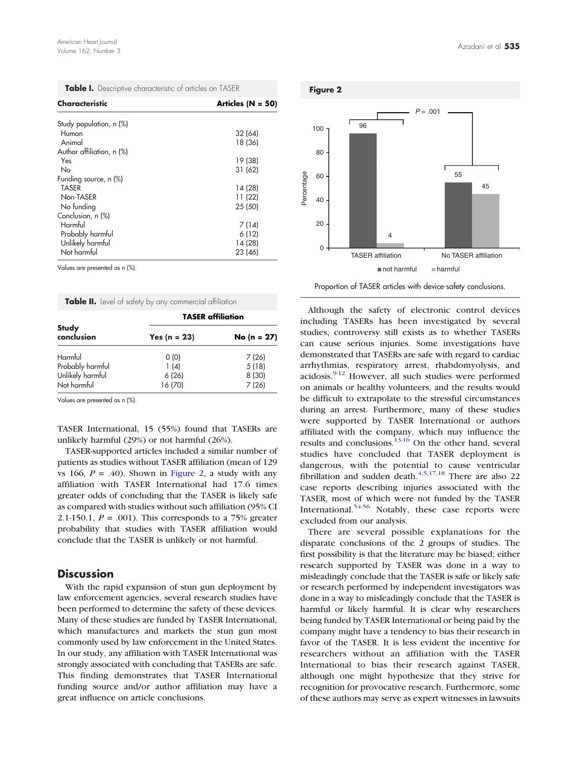<span id="page-2-0"></span>

|  |  | Table I. Descriptive characteristic of articles on TASER |  |  |
|--|--|----------------------------------------------------------|--|--|
|--|--|----------------------------------------------------------|--|--|

| Characteristic            | Articles ( $N = 50$ ) |  |
|---------------------------|-----------------------|--|
| Study population, n (%)   |                       |  |
| Human                     | 32 (64)               |  |
| Animal                    | 18 (36)               |  |
| Author affiliation, n (%) |                       |  |
| Yes                       | 19 (38)               |  |
| No                        | 31 (62)               |  |
| Funding source, n (%)     |                       |  |
| TASER                     | 14 (28)               |  |
| Non-TASER                 | 11 (22)               |  |
| No funding                | 25 (50)               |  |
| Conclusion, n (%)         |                       |  |
| Harmful                   | 7 (14)                |  |
| Probably harmful          | 6 (12)                |  |
| Unlikely harmful          | 14 (28)               |  |
| Not harmful               | 23 (46)               |  |

Values are presented as n (%).

Table II. Level of safety by any commercial affiliation

|                            | <b>TASER</b> affiliation |                |  |
|----------------------------|--------------------------|----------------|--|
| <b>Study</b><br>conclusion | Yes (n = $23$ )          | No (n = $27$ ) |  |
| Harmful                    | 0(0)                     | 7(26)          |  |
| Probably harmful           | 1(4)                     | 5(18)          |  |
| Unlikely harmful           | 6(26)                    | 8 (30)         |  |
| Not harmful                | 16 (70)                  | 7(26)          |  |

Values are presented as n (%).

TASER International, 15 (55%) found that TASERs are unlikely harmful (29%) or not harmful (26%).

TASER-supported articles included a similar number of patients as studies without TASER affiliation (mean of 129 vs 166,  $P = .40$ ). Shown in Figure 2, a study with any affiliation with TASER International had 17.6 times greater odds of concluding that the TASER is likely safe as compared with studies without such affiliation (95% CI 2.1-150.1,  $P = .001$ ). This corresponds to a 75% greater probability that studies with TASER affiliation would conclude that the TASER is unlikely or not harmful.

## **Discussion**

With the rapid expansion of stun gun deployment by law enforcement agencies, several research studies have been performed to determine the safety of these devices. Many of these studies are funded by TASER International, which manufactures and markets the stun gun most commonly used by law enforcement in the United States. In our study, any affiliation with TASER International was strongly associated with concluding that TASERs are safe. This finding demonstrates that TASER International funding source and/or author affiliation may have a great influence on article conclusions.



Proportion of TASER articles with device-safety conclusions.

Although the safety of electronic control devices including TASERs has been investigated by several studies, controversy still exists as to whether TASERs can cause serious injuries. Some investigations have demonstrated that TASERs are safe with regard to cardiac arrhythmias, respiratory arrest, rhabdomyolysis, and acidosis.<sup>[9-12](#page-3-0)</sup> However, all such studies were performed on animals or healthy volunteers, and the results would be difficult to extrapolate to the stressful circumstances during an arrest. Furthermore, many of these studies were supported by TASER International or authors affiliated with the company, which may influence the results and conclusions.[13-16](#page-3-0) On the other hand, several studies have concluded that TASER deployment is dangerous, with the potential to cause ventricular fibrillation and sudden death. $4,5,17,18$  There are also 22 case reports describing injuries associated with the TASER, most of which were not funded by the TASER International.<sup>[54-56](#page-4-0)</sup> Notably, these case reports were excluded from our analysis.

There are several possible explanations for the disparate conclusions of the 2 groups of studies. The first possibility is that the literature may be biased; either research supported by TASER was done in a way to misleadingly conclude that the TASER is safe or likely safe or research performed by independent investigators was done in a way to misleadingly conclude that the TASER is harmful or likely harmful. It is clear why researchers being funded by TASER International or being paid by the company might have a tendency to bias their research in favor of the TASER. It is less evident the incentive for researchers without an affiliation with the TASER International to bias their research against TASER, although one might hypothesize that they strive for recognition for provocative research. Furthermore, some of these authors may serve as expert witnesses in lawsuits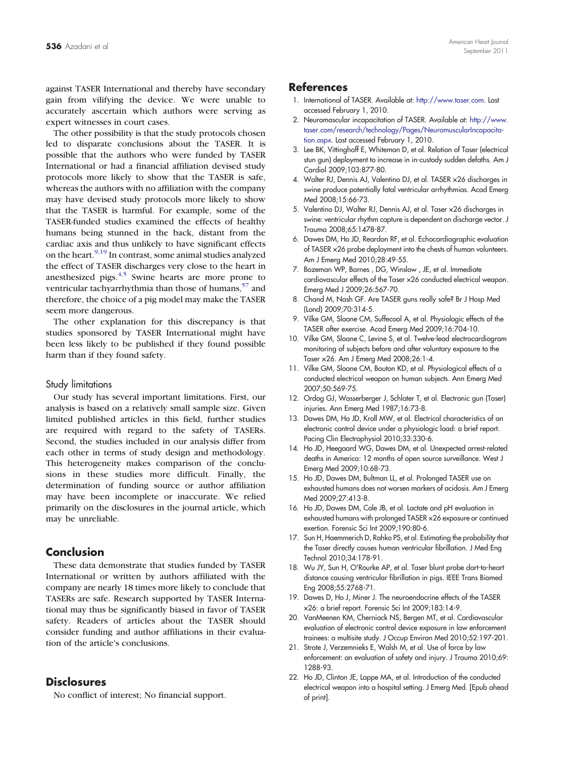<span id="page-3-0"></span>against TASER International and thereby have secondary gain from vilifying the device. We were unable to accurately ascertain which authors were serving as expert witnesses in court cases.

The other possibility is that the study protocols chosen led to disparate conclusions about the TASER. It is possible that the authors who were funded by TASER International or had a financial affiliation devised study protocols more likely to show that the TASER is safe, whereas the authors with no affiliation with the company may have devised study protocols more likely to show that the TASER is harmful. For example, some of the TASER-funded studies examined the effects of healthy humans being stunned in the back, distant from the cardiac axis and thus unlikely to have significant effects on the heart.<sup>9,19</sup> In contrast, some animal studies analyzed the effect of TASER discharges very close to the heart in anesthesized pigs. $4.5$  Swine hearts are more prone to ventricular tachyarrhythmia than those of humans,  $57$  and therefore, the choice of a pig model may make the TASER seem more dangerous.

The other explanation for this discrepancy is that studies sponsored by TASER International might have been less likely to be published if they found possible harm than if they found safety.

#### Study limitations

Our study has several important limitations. First, our analysis is based on a relatively small sample size. Given limited published articles in this field, further studies are required with regard to the safety of TASERs. Second, the studies included in our analysis differ from each other in terms of study design and methodology. This heterogeneity makes comparison of the conclusions in these studies more difficult. Finally, the determination of funding source or author affiliation may have been incomplete or inaccurate. We relied primarily on the disclosures in the journal article, which may be unreliable.

# Conclusion

These data demonstrate that studies funded by TASER International or written by authors affiliated with the company are nearly 18 times more likely to conclude that TASERs are safe. Research supported by TASER International may thus be significantly biased in favor of TASER safety. Readers of articles about the TASER should consider funding and author affiliations in their evaluation of the article's conclusions.

## **Disclosures**

No conflict of interest; No financial support.

# **References**

- 1. International of TASER. Available at: <http://www.taser.com>. Last accessed February 1, 2010.
- 2. Neuromascular incapacitation of TASER. Available at: [http://www.](http://www.taser.com/research/technology/Pages/NeuromuscularIncapacitation.aspx) [taser.com/research/technology/Pages/NeuromuscularIncapacita](http://www.taser.com/research/technology/Pages/NeuromuscularIncapacitation.aspx)[tion.aspx](http://www.taser.com/research/technology/Pages/NeuromuscularIncapacitation.aspx). Last accessed February 1, 2010.
- 3. Lee BK, Vittinghoff E, Whiteman D, et al. Relation of Taser (electrical stun gun) deployment to increase in in-custody sudden defaths. Am J Cardiol 2009;103:877-80.
- 4. Walter RJ, Dennis AJ, Valentino DJ, et al. TASER ×26 discharges in swine produce potentially fatal ventricular arrhythmias. Acad Emerg Med 2008;15:66-73.
- 5. Valentino DJ, Walter RJ, Dennis AJ, et al. Taser ×26 discharges in swine: ventricular rhythm capture is dependent on discharge vector. J Trauma 2008;65:1478-87.
- 6. Dawes DM, Ho JD, Reardon RF, et al. Echocardiographic evaluation of TASER ×26 probe deployment into the chests of human volunteers. Am J Emerg Med 2010;28:49-55.
- 7. Bozeman WP, Barnes , DG, Winslow , JE, et al. Immediate cardiovascular effects of the Taser ×26 conducted electrical weapon. Emerg Med J 2009;26:567-70.
- 8. Chand M, Nash GF. Are TASER guns really safe? Br J Hosp Med (Lond) 2009;70:314-5.
- 9. Vilke GM, Sloane CM, Suffecool A, et al. Physiologic effects of the TASER after exercise. Acad Emerg Med 2009;16:704-10.
- 10. Vilke GM, Sloane C, Levine S, et al. Twelve-lead electrocardiogram monitoring of subjects before and after voluntary exposure to the Taser ×26. Am J Emerg Med 2008;26:1-4.
- 11. Vilke GM, Sloane CM, Bouton KD, et al. Physiological effects of a conducted electrical weapon on human subjects. Ann Emerg Med 2007;50:569-75.
- 12. Ordog GJ, Wasserberger J, Schlater T, et al. Electronic gun (Taser) injuries. Ann Emerg Med 1987;16:73-8.
- 13. Dawes DM, Ho JD, Kroll MW, et al. Electrical characteristics of an electronic control device under a physiologic load: a brief report. Pacing Clin Electrophysiol 2010;33:330-6.
- 14. Ho JD, Heegaard WG, Dawes DM, et al. Unexpected arrest-related deaths in America: 12 months of open source surveillance. West J Emerg Med 2009;10:68-73.
- 15. Ho JD, Dawes DM, Bultman LL, et al. Prolonged TASER use on exhausted humans does not worsen markers of acidosis. Am J Emerg Med 2009;27:413-8.
- 16. Ho JD, Dawes DM, Cole JB, et al. Lactate and pH evaluation in exhausted humans with prolonged TASER ×26 exposure or continued exertion. Forensic Sci Int 2009;190:80-6.
- 17. Sun H, Haemmerich D, Rahko PS, et al. Estimating the probability that the Taser directly causes human ventricular fibrillation. J Med Eng Technol 2010;34:178-91.
- 18. Wu JY, Sun H, O'Rourke AP, et al. Taser blunt probe dart-to-heart distance causing ventricular fibrillation in pigs. IEEE Trans Biomed Eng 2008;55:2768-71.
- 19. Dawes D, Ho J, Miner J. The neuroendocrine effects of the TASER ×26: a brief report. Forensic Sci Int 2009;183:14-9.
- 20. VanMeenen KM, Cherniack NS, Bergen MT, et al. Cardiovascular evaluation of electronic control device exposure in law enforcement trainees: a multisite study. J Occup Environ Med 2010;52:197-201.
- 21. Strote J, Verzemnieks E, Walsh M, et al. Use of force by law enforcement: an evaluation of safety and injury. J Trauma 2010;69: 1288-93.
- 22. Ho JD, Clinton JE, Lappe MA, et al. Introduction of the conducted electrical weapon into a hospital setting. J Emerg Med. [Epub ahead of print].